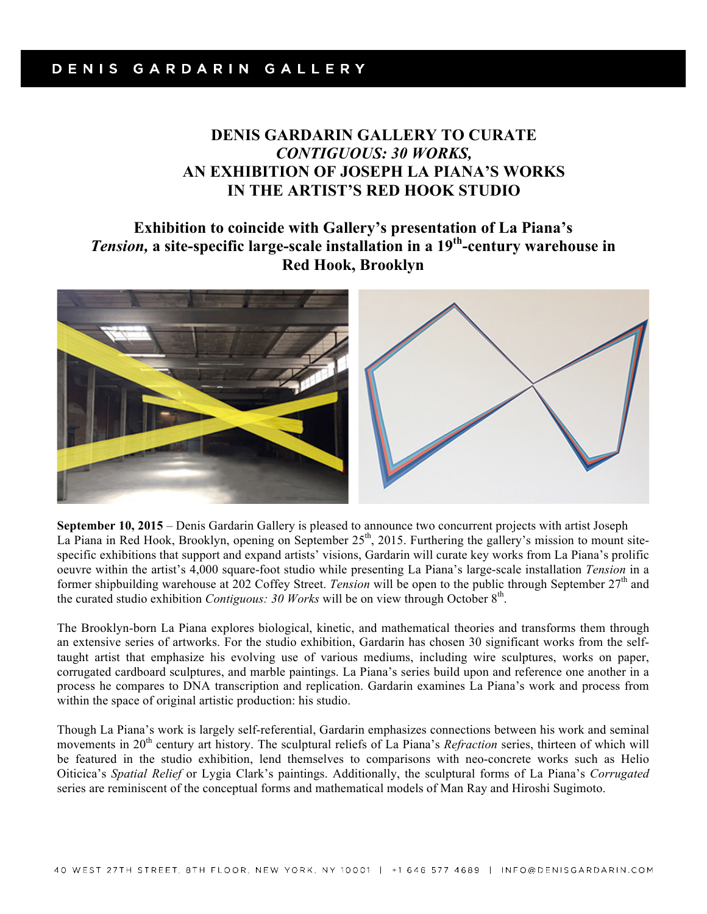## **DENIS GARDARIN GALLERY TO CURATE**  *CONTIGUOUS: 30 WORKS,* **AN EXHIBITION OF JOSEPH LA PIANA'S WORKS IN THE ARTIST'S RED HOOK STUDIO**

## **Exhibition to coincide with Gallery's presentation of La Piana's** *Tension,* **a site-specific large-scale installation in a 19th-century warehouse in Red Hook, Brooklyn**



**September 10, 2015** – Denis Gardarin Gallery is pleased to announce two concurrent projects with artist Joseph La Piana in Red Hook, Brooklyn, opening on September  $25<sup>th</sup>$ , 2015. Furthering the gallery's mission to mount sitespecific exhibitions that support and expand artists' visions, Gardarin will curate key works from La Piana's prolific oeuvre within the artist's 4,000 square-foot studio while presenting La Piana's large-scale installation *Tension* in a former shipbuilding warehouse at 202 Coffey Street. *Tension* will be open to the public through September 27th and the curated studio exhibition *Contiguous: 30 Works* will be on view through October 8th.

The Brooklyn-born La Piana explores biological, kinetic, and mathematical theories and transforms them through an extensive series of artworks. For the studio exhibition, Gardarin has chosen 30 significant works from the selftaught artist that emphasize his evolving use of various mediums, including wire sculptures, works on paper, corrugated cardboard sculptures, and marble paintings. La Piana's series build upon and reference one another in a process he compares to DNA transcription and replication. Gardarin examines La Piana's work and process from within the space of original artistic production: his studio.

Though La Piana's work is largely self-referential, Gardarin emphasizes connections between his work and seminal movements in 20<sup>th</sup> century art history. The sculptural reliefs of La Piana's *Refraction* series, thirteen of which will be featured in the studio exhibition, lend themselves to comparisons with neo-concrete works such as Helio Oiticica's *Spatial Relief* or Lygia Clark's paintings. Additionally, the sculptural forms of La Piana's *Corrugated*  series are reminiscent of the conceptual forms and mathematical models of Man Ray and Hiroshi Sugimoto.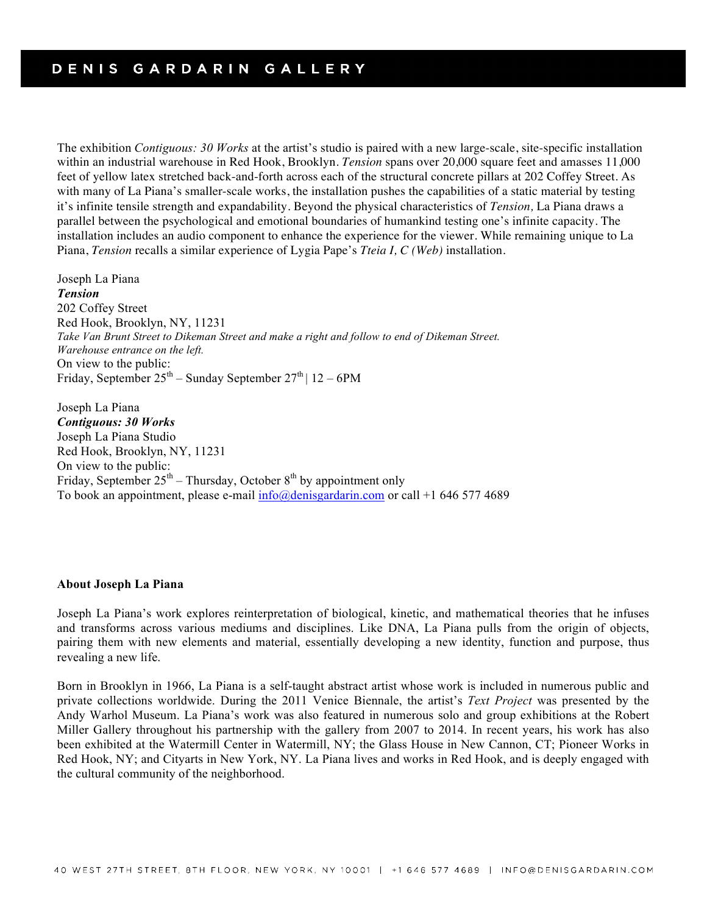The exhibition *Contiguous: 30 Works* at the artist's studio is paired with a new large-scale, site-specific installation within an industrial warehouse in Red Hook, Brooklyn. *Tension* spans over 20,000 square feet and amasses 11,000 feet of yellow latex stretched back-and-forth across each of the structural concrete pillars at 202 Coffey Street. As with many of La Piana's smaller-scale works, the installation pushes the capabilities of a static material by testing it's infinite tensile strength and expandability. Beyond the physical characteristics of *Tension,* La Piana draws a parallel between the psychological and emotional boundaries of humankind testing one's infinite capacity. The installation includes an audio component to enhance the experience for the viewer. While remaining unique to La Piana, *Tension* recalls a similar experience of Lygia Pape's *Tteia I, C (Web)* installation.

Joseph La Piana *Tension* 202 Coffey Street Red Hook, Brooklyn, NY, 11231 *Take Van Brunt Street to Dikeman Street and make a right and follow to end of Dikeman Street. Warehouse entrance on the left.* On view to the public: Friday, September  $25^{th}$  – Sunday September  $27^{th}$  |  $12 - 6$ PM

Joseph La Piana *Contiguous: 30 Works* Joseph La Piana Studio Red Hook, Brooklyn, NY, 11231 On view to the public: Friday, September  $25<sup>th</sup>$  – Thursday, October  $8<sup>th</sup>$  by appointment only To book an appointment, please e-mail info@denisgardarin.com or call +1 646 577 4689

## **About Joseph La Piana**

Joseph La Piana's work explores reinterpretation of biological, kinetic, and mathematical theories that he infuses and transforms across various mediums and disciplines. Like DNA, La Piana pulls from the origin of objects, pairing them with new elements and material, essentially developing a new identity, function and purpose, thus revealing a new life.

Born in Brooklyn in 1966, La Piana is a self-taught abstract artist whose work is included in numerous public and private collections worldwide. During the 2011 Venice Biennale, the artist's *Text Project* was presented by the Andy Warhol Museum. La Piana's work was also featured in numerous solo and group exhibitions at the Robert Miller Gallery throughout his partnership with the gallery from 2007 to 2014. In recent years, his work has also been exhibited at the Watermill Center in Watermill, NY; the Glass House in New Cannon, CT; Pioneer Works in Red Hook, NY; and Cityarts in New York, NY. La Piana lives and works in Red Hook, and is deeply engaged with the cultural community of the neighborhood.